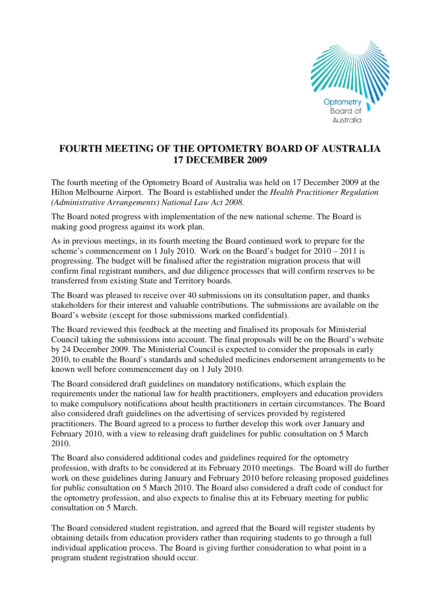

## **FOURTH MEETING OF THE OPTOMETRY BOARD OF AUSTRALIA 17 DECEMBER 2009**

The fourth meeting of the Optometry Board of Australia was held on 17 December 2009 at the Hilton Melbourne Airport. The Board is established under the *Health Practitioner Regulation (Administrative Arrangements) National Law Act 2008.* 

The Board noted progress with implementation of the new national scheme. The Board is making good progress against its work plan.

As in previous meetings, in its fourth meeting the Board continued work to prepare for the scheme's commencement on 1 July 2010. Work on the Board's budget for 2010 – 2011 is progressing. The budget will be finalised after the registration migration process that will confirm final registrant numbers, and due diligence processes that will confirm reserves to be transferred from existing State and Territory boards.

The Board was pleased to receive over 40 submissions on its consultation paper, and thanks stakeholders for their interest and valuable contributions. The submissions are available on the Board's website (except for those submissions marked confidential).

The Board reviewed this feedback at the meeting and finalised its proposals for Ministerial Council taking the submissions into account. The final proposals will be on the Board's website by 24 December 2009. The Ministerial Council is expected to consider the proposals in early 2010, to enable the Board's standards and scheduled medicines endorsement arrangements to be known well before commencement day on 1 July 2010.

The Board considered draft guidelines on mandatory notifications, which explain the requirements under the national law for health practitioners, employers and education providers to make compulsory notifications about health practitioners in certain circumstances. The Board also considered draft guidelines on the advertising of services provided by registered practitioners. The Board agreed to a process to further develop this work over January and February 2010, with a view to releasing draft guidelines for public consultation on 5 March 2010.

The Board also considered additional codes and guidelines required for the optometry profession, with drafts to be considered at its February 2010 meetings. The Board will do further work on these guidelines during January and February 2010 before releasing proposed guidelines for public consultation on 5 March 2010. The Board also considered a draft code of conduct for the optometry profession, and also expects to finalise this at its February meeting for public consultation on 5 March.

The Board considered student registration, and agreed that the Board will register students by obtaining details from education providers rather than requiring students to go through a full individual application process. The Board is giving further consideration to what point in a program student registration should occur.